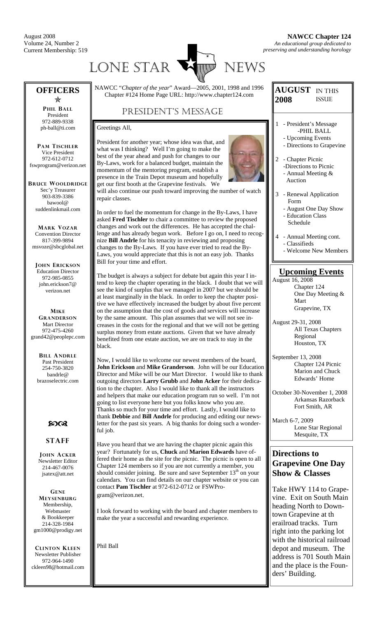August 2008 Volume 24, Number 2 Current Membership: 519



**AUGUST**  IN THIS

ISSUE

**2008** 

#### NAWCC "*Chapter of the year*" Award—2005, 2001, 1998 and 1996 Chapter #124 Home Page URL: http://www.chapter124.com PRESIDENT'S MESSAGE **OFFICERS**  Õ **PHIL BALL** President 972-889-9338 ph-ball@ti.com **PAM TISCHLER** Vice President 972-612-0712 fswprogram@verizon.net **BRUCE WOOLDRIDGE** Sec'y Treasurer 903-839-3386 bawool@ suddenlinkmail.com **MARK VOZAR** Convention Director 817-399-9894 msvoze@sbcglobal.net **JOHN ERICKSON** Education Director 972-985-0855 john.erickson7@ verizon.net **MIKE GRANDERSON** Mart Director 972-475-4260 grand42@peoplepc.com **BILL ANDRLE** Past President 254-750-3820 bandrle@ brazoselectric.com  $50C<sub>3</sub>$ **STAFF JOHN ACKER** Newsletter Editor 214-467-0076 jsatex@att.net **GENE MEYSENBURG** Membership, Webmaster & Bookkeeper 214-328-1984 gm1000@prodigy.net Greetings All, President for another year; whose idea was that, and what was I thinking? Well I'm going to make the best of the year ahead and push for changes to our By-Laws, work for a balanced budget, maintain the momentum of the mentoring program, establish a presence in the Train Depot museum and hopefully get our first booth at the Grapevine festivals. We will also continue our push toward improving the number of watch repair classes. In order to fuel the momentum for change in the By-Laws, I have asked **Fred Tischler** to chair a committee to review the proposed changes and work out the differences. He has accepted the challenge and has already begun work. Before I go on, I need to recognize **Bill Andrle** for his tenacity in reviewing and proposing changes to the By-Laws. If you have ever tried to read the By-Laws, you would appreciate that this is not an easy job. Thanks Bill for your time and effort. The budget is always a subject for debate but again this year I intend to keep the chapter operating in the black. I doubt that we will see the kind of surplus that we managed in 2007 but we should be at least marginally in the black. In order to keep the chapter positive we have effectively increased the budget by about five percent on the assumption that the cost of goods and services will increase by the same amount. This plan assumes that we will not see increases in the costs for the regional and that we will not be getting surplus money from estate auctions. Given that we have already benefited from one estate auction, we are on track to stay in the black. Now, I would like to welcome our newest members of the board, **John Erickson** and **Mike Granderson**. John will be our Education Director and Mike will be our Mart Director. I would like to thank outgoing directors **Larry Grubb** and **John Acker** for their dedication to the chapter. Also I would like to thank all the instructors and helpers that make our education program run so well. I'm not going to list everyone here but you folks know who you are. Thanks so much for your time and effort. Lastly, I would like to thank **Debbie** and **Bill Andrle** for producing and editing our newsletter for the past six years. A big thanks for doing such a wonderful job. Have you heard that we are having the chapter picnic again this year? Fortunately for us, **Chuck** and **Marion Edwards** have offered their home as the site for the picnic. The picnic is open to all Chapter 124 members so if you are not currently a member, you should consider joining. Be sure and save September  $13<sup>th</sup>$  on your calendars. You can find details on our chapter website or you can contact **Pam Tischler** at 972-612-0712 or FSWProgram@verizon.net. I look forward to working with the board and chapter members to make the year a successful and rewarding experience.

**CLINTON KLEEN** Newsletter Publisher 972-964-1490 ckleen98@hotmail.com Phil Ball

#### 1 - President's Message -PHIL BALL - Upcoming Events - Directions to Grapevine

- 2 Chapter Picnic -Directions to Picnic
	- Annual Meeting &
	- Auction
- 3 Renewal Application Form
	- August One Day Show - Education Class Schedule
- 4 Annual Meeting cont. - Classifieds

## Welcome New Members

## **Upcoming Events**

August 16, 2008 Chapter 124 One Day Meeting & Mart Grapevine, TX

- August 29-31, 2008 All Texas Chapters Regional Houston, TX
- September 13, 2008 Chapter 124 Picnic Marion and Chuck Edwards' Home
- October 30-November 1, 2008 Arkansas Razorback Fort Smith, AR

March 6-7, 2009 Lone Star Regional Mesquite, TX

## **Directions to Grapevine One Day Show & Classes**

Take HWY 114 to Grapevine. Exit on South Main heading North to Downtown Grapevine at th erailroad tracks. Turn right into the parking lot with the historical railroad depot and museum. The address is 701 South Main and the place is the Founders' Building.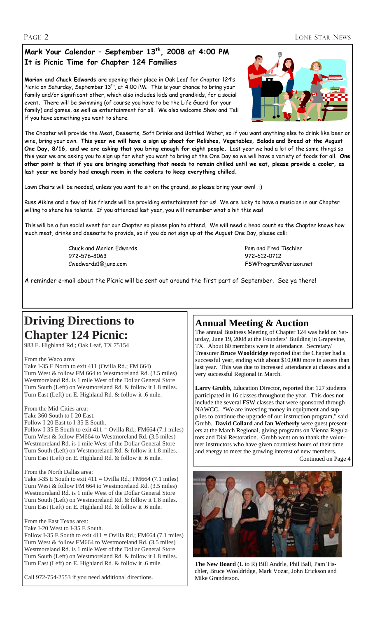### PAGE 2 LONE STAR NEWS

## **Mark Your Calendar – September 13th, 2008 at 4:00 PM It is Picnic Time for Chapter 124 Families**

**Marion and Chuck Edwards** are opening their place in Oak Leaf for Chapter 124's Picnic on Saturday, September 13<sup>th</sup>, at 4:00 PM. This is your chance to bring your family and/or significant other, which also includes kids and grandkids, for a social event. There will be swimming (of course you have to be the Life Guard for your family) and games, as well as entertainment for all. We also welcome Show and Tell if you have something you want to share.



The Chapter will provide the Meat, Desserts, Soft Drinks and Bottled Water, so if you want anything else to drink like beer or wine, bring your own. **This year we will have a sign up sheet for Relishes, Vegetables, Salads and Bread at the August One Day, 8/16, and we are asking that you bring enough for eight people.** Last year we had a lot of the same things so this year we are asking you to sign up for what you want to bring at the One Day so we will have a variety of foods for all. **One other point is that if you are bringing something that needs to remain chilled until we eat, please provide a cooler, as last year we barely had enough room in the coolers to keep everything chilled.**

Lawn Chairs will be needed, unless you want to sit on the ground, so please bring your own! :)

Russ Aikins and a few of his friends will be providing entertainment for us! We are lucky to have a musician in our Chapter willing to share his talents. If you attended last year, you will remember what a hit this was!

This will be a fun social event for our Chapter so please plan to attend. We will need a head count so the Chapter knows how much meat, drinks and desserts to provide, so if you do not sign up at the August One Day, please call:

> Chuck and Marion Edwards Pam and Fred Tischler 972-576-8063 972-612-0712 Cwedwards1@juno.com FSWProgram@verizon.net

A reminder e-mail about the Picnic will be sent out around the first part of September. See ya there!

# **Driving Directions to Chapter 124 Picnic:**

983 E. Highland Rd.; Oak Leaf, TX 75154

#### From the Waco area:

Take I-35 E North to exit 411 (Ovilla Rd.; FM 664) Turn West & follow FM 664 to Westmoreland Rd. (3.5 miles) Westmoreland Rd. is 1 mile West of the Dollar General Store Turn South (Left) on Westmoreland Rd. & follow it 1.8 miles. Turn East (Left) on E. Highland Rd. & follow it .6 mile.

#### From the Mid-Cities area:

Take 360 South to I-20 East.

Follow I-20 East to I-35 E South.

Follow I-35 E South to exit  $411 =$  Ovilla Rd.; FM664 (7.1 miles) Turn West & follow FM664 to Westmoreland Rd. (3.5 miles) Westmoreland Rd. is 1 mile West of the Dollar General Store Turn South (Left) on Westmoreland Rd. & follow it 1.8 miles. Turn East (Left) on E. Highland Rd. & follow it .6 mile.

#### From the North Dallas area:

Take I-35 E South to exit  $411 =$  Ovilla Rd.; FM664 (7.1 miles) Turn West & follow FM 664 to Westmoreland Rd. (3.5 miles) Westmoreland Rd. is 1 mile West of the Dollar General Store Turn South (Left) on Westmoreland Rd. & follow it 1.8 miles. Turn East (Left) on E. Highland Rd. & follow it .6 mile.

From the East Texas area:

Take I-20 West to I-35 E South. Follow I-35 E South to exit  $411 =$  Ovilla Rd.; FM664 (7.1 miles) Turn West & follow FM664 to Westmoreland Rd. (3.5 miles) Westmoreland Rd. is 1 mile West of the Dollar General Store Turn South (Left) on Westmoreland Rd. & follow it 1.8 miles. Turn East (Left) on E. Highland Rd. & follow it .6 mile.

Call 972-754-2553 if you need additional directions.

## **Annual Meeting & Auction**

The annual Business Meeting of Chapter 124 was held on Saturday, June 19, 2008 at the Founders' Building in Grapevine, TX. About 80 members were in attendance. Secretary/ Treasurer **Bruce Wooldridge** reported that the Chapter had a successful year, ending with about \$10,000 more in assets than last year. This was due to increased attendance at classes and a very successful Regional in March.

Larry Grubb, Education Director, reported that 127 students participated in 16 classes throughout the year. This does not include the several FSW classes that were sponsored through NAWCC. "We are investing money in equipment and supplies to continue the upgrade of our instruction program," said Grubb. **David Collard** and **Ian Wetherly** were guest presenters at the March Regional, giving programs on Vienna Regulators and Dial Restoration. Grubb went on to thank the volunteer instructors who have given countless hours of their time and energy to meet the growing interest of new members.

Continued on Page 4



**The New Board** (L to R) Bill Andrle, Phil Ball, Pam Tischler, Bruce Wooldridge, Mark Vozar, John Erickson and Mike Granderson.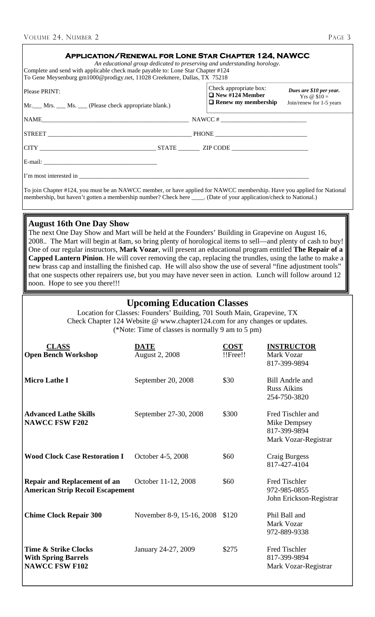| <b>APPLICATION/RENEWAL FOR LONE STAR CHAPTER 124, NAWCC</b><br>Complete and send with applicable check made payable to: Lone Star Chapter #124<br>To Gene Meysenburg gm1000@prodigy.net, 11028 Creekmere, Dallas, TX 75218 |  | An educational group dedicated to preserving and understanding horology.       |                                                                    |  |  |
|----------------------------------------------------------------------------------------------------------------------------------------------------------------------------------------------------------------------------|--|--------------------------------------------------------------------------------|--------------------------------------------------------------------|--|--|
| Please PRINT:<br>Mr. Mrs. Ms. (Please check appropriate blank.)                                                                                                                                                            |  | Check appropriate box:<br>$\Box$ New #124 Member<br>$\Box$ Renew my membership | Dues are \$10 per year.<br>Yrs $@$10=$<br>Join/renew for 1-5 years |  |  |
|                                                                                                                                                                                                                            |  |                                                                                |                                                                    |  |  |
|                                                                                                                                                                                                                            |  |                                                                                |                                                                    |  |  |
|                                                                                                                                                                                                                            |  |                                                                                |                                                                    |  |  |
|                                                                                                                                                                                                                            |  |                                                                                |                                                                    |  |  |
| I'm most interested in                                                                                                                                                                                                     |  |                                                                                |                                                                    |  |  |

To join Chapter #124, you must be an NAWCC member, or have applied for NAWCC membership. Have you applied for National membership, but haven't gotten a membership number? Check here \_\_\_\_. (Date of your application/check to National.)

## **August 16th One Day Show**

The next One Day Show and Mart will be held at the Founders' Building in Grapevine on August 16, 2008.. The Mart will begin at 8am, so bring plenty of horological items to sell—and plenty of cash to buy! One of our regular instructors, **Mark Vozar**, will present an educational program entitled **The Repair of a Capped Lantern Pinion**. He will cover removing the cap, replacing the trundles, using the lathe to make a new brass cap and installing the finished cap. He will also show the use of several "fine adjustment tools" that one suspects other repairers use, but you may have never seen in action. Lunch will follow around 12 noon. Hope to see you there!!!

## **Upcoming Education Classes**

Location for Classes: Founders' Building, 701 South Main, Grapevine, TX Check Chapter 124 Website @ www.chapter124.com for any changes or updates. (\*Note: Time of classes is normally 9 am to 5 pm)

| <b>CLASS</b><br><b>Open Bench Workshop</b>                                             | <b>DATE</b><br><b>August 2, 2008</b> | <b>COST</b><br>!!Free!! | <b>INSTRUCTOR</b><br>Mark Vozar<br>817-399-9894                           |
|----------------------------------------------------------------------------------------|--------------------------------------|-------------------------|---------------------------------------------------------------------------|
| <b>Micro Lathe I</b>                                                                   | September 20, 2008                   | \$30                    | <b>Bill Andrle and</b><br><b>Russ Aikins</b><br>254-750-3820              |
| <b>Advanced Lathe Skills</b><br><b>NAWCC FSW F202</b>                                  | September 27-30, 2008                | \$300                   | Fred Tischler and<br>Mike Dempsey<br>817-399-9894<br>Mark Vozar-Registrar |
| <b>Wood Clock Case Restoration I</b>                                                   | October 4-5, 2008                    | \$60                    | Craig Burgess<br>817-427-4104                                             |
| <b>Repair and Replacement of an</b><br><b>American Strip Recoil Escapement</b>         | October 11-12, 2008                  | \$60                    | Fred Tischler<br>972-985-0855<br>John Erickson-Registrar                  |
| <b>Chime Clock Repair 300</b>                                                          | November 8-9, 15-16, 2008            | \$120                   | Phil Ball and<br>Mark Vozar<br>972-889-9338                               |
| <b>Time &amp; Strike Clocks</b><br><b>With Spring Barrels</b><br><b>NAWCC FSW F102</b> | January 24-27, 2009                  | \$275                   | Fred Tischler<br>817-399-9894<br>Mark Vozar-Registrar                     |